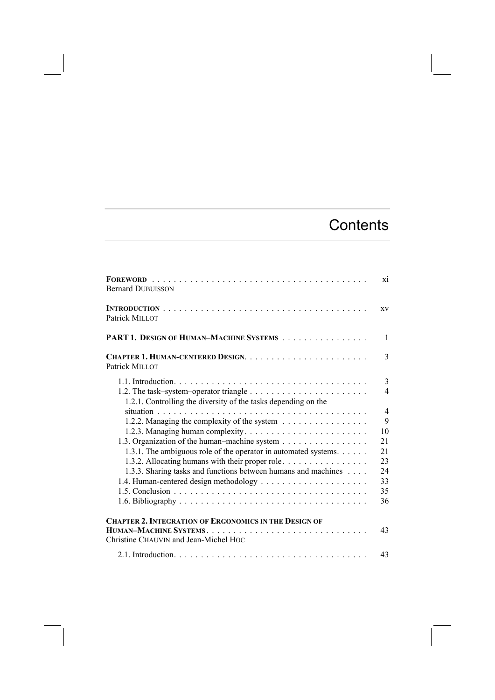## **Contents**

| <b>Bernard DUBUISSON</b>                                                                                           | xi                              |
|--------------------------------------------------------------------------------------------------------------------|---------------------------------|
| Patrick MILLOT                                                                                                     | XV                              |
| <b>PART 1. DESIGN OF HUMAN-MACHINE SYSTEMS</b>                                                                     | $\mathbf{1}$                    |
| Patrick MILLOT                                                                                                     | 3                               |
| 1.2.1. Controlling the diversity of the tasks depending on the                                                     | 3<br>$\overline{4}$             |
| 1.2.2. Managing the complexity of the system<br>1.3. Organization of the human–machine system                      | $\overline{4}$<br>9<br>10<br>21 |
| 1.3.1. The ambiguous role of the operator in automated systems.<br>1.3.2. Allocating humans with their proper role | 21<br>23                        |
| 1.3.3. Sharing tasks and functions between humans and machines                                                     | 24<br>33<br>35<br>36            |
| <b>CHAPTER 2. INTEGRATION OF ERGONOMICS IN THE DESIGN OF</b><br>Christine CHAUVIN and Jean-Michel HOC              | 43                              |
|                                                                                                                    | 43                              |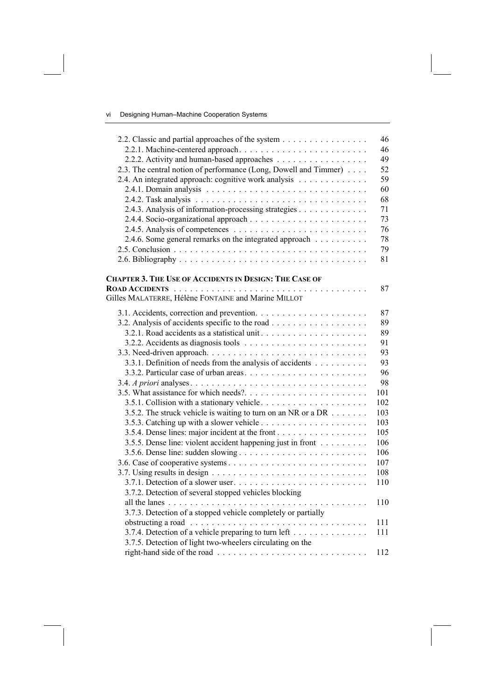## vi Designing Human–Machine Cooperation Systems

| 2.2. Classic and partial approaches of the system                                                 | 46<br>46 |
|---------------------------------------------------------------------------------------------------|----------|
| 2.2.2. Activity and human-based approaches                                                        | 49       |
|                                                                                                   | 52       |
| 2.3. The central notion of performance (Long, Dowell and Timmer)                                  |          |
| 2.4. An integrated approach: cognitive work analysis                                              | 59       |
|                                                                                                   | 60       |
|                                                                                                   | 68       |
| 2.4.3. Analysis of information-processing strategies                                              | 71       |
|                                                                                                   | 73       |
|                                                                                                   | 76       |
| 2.4.6. Some general remarks on the integrated approach                                            | 78       |
|                                                                                                   | 79       |
|                                                                                                   | 81       |
| <b>CHAPTER 3. THE USE OF ACCIDENTS IN DESIGN: THE CASE OF</b>                                     |          |
|                                                                                                   | 87       |
| Gilles MALATERRE, Hélène FONTAINE and Marine MILLOT                                               |          |
|                                                                                                   | 87       |
|                                                                                                   | 89       |
|                                                                                                   | 89       |
|                                                                                                   | 91       |
|                                                                                                   | 93       |
| 3.3.1. Definition of needs from the analysis of accidents                                         | 93       |
|                                                                                                   | 96       |
|                                                                                                   | 98       |
|                                                                                                   | 101      |
|                                                                                                   | 102      |
| 3.5.2. The struck vehicle is waiting to turn on an NR or a DR $\dots \dots$                       | 103      |
|                                                                                                   | 103      |
| 3.5.4. Dense lines: major incident at the front                                                   | 105      |
| 3.5.5. Dense line: violent accident happening just in front                                       | 106      |
|                                                                                                   | 106      |
|                                                                                                   | 107      |
|                                                                                                   | 108      |
|                                                                                                   |          |
|                                                                                                   | 110      |
| 3.7.2. Detection of several stopped vehicles blocking                                             |          |
|                                                                                                   | 110      |
| 3.7.3. Detection of a stopped vehicle completely or partially                                     |          |
| obstructing a road $\ldots \ldots \ldots \ldots \ldots \ldots \ldots \ldots \ldots \ldots \ldots$ | 111      |
| 3.7.4. Detection of a vehicle preparing to turn left                                              | 111      |
| 3.7.5. Detection of light two-wheelers circulating on the                                         |          |
|                                                                                                   | 112      |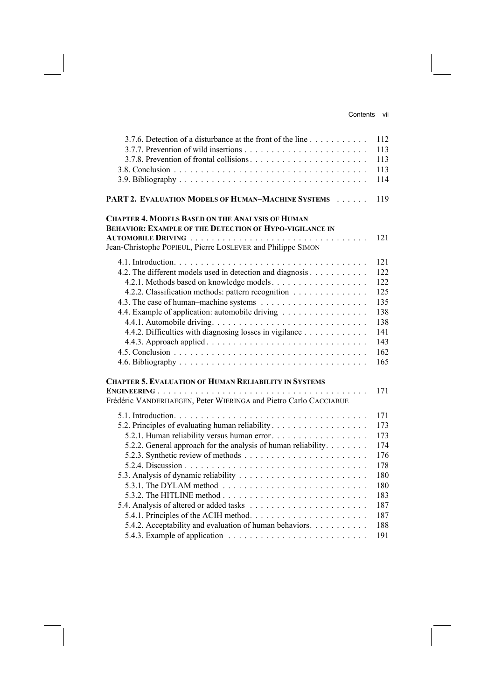| 3.7.6. Detection of a disturbance at the front of the line                                                                                                                               | 112 |
|------------------------------------------------------------------------------------------------------------------------------------------------------------------------------------------|-----|
|                                                                                                                                                                                          | 113 |
|                                                                                                                                                                                          | 113 |
|                                                                                                                                                                                          | 113 |
|                                                                                                                                                                                          | 114 |
| PART 2. EVALUATION MODELS OF HUMAN-MACHINE SYSTEMS                                                                                                                                       | 119 |
| <b>CHAPTER 4. MODELS BASED ON THE ANALYSIS OF HUMAN</b><br><b>BEHAVIOR: EXAMPLE OF THE DETECTION OF HYPO-VIGILANCE IN</b><br>Jean-Christophe POPIEUL, Pierre LOSLEVER and Philippe SIMON | 121 |
|                                                                                                                                                                                          | 121 |
| 4.2. The different models used in detection and diagnosis                                                                                                                                | 122 |
|                                                                                                                                                                                          | 122 |
| 4.2.2. Classification methods: pattern recognition                                                                                                                                       | 125 |
|                                                                                                                                                                                          | 135 |
| 4.4. Example of application: automobile driving                                                                                                                                          | 138 |
|                                                                                                                                                                                          | 138 |
| 4.4.2. Difficulties with diagnosing losses in vigilance                                                                                                                                  | 141 |
|                                                                                                                                                                                          | 143 |
|                                                                                                                                                                                          | 162 |
|                                                                                                                                                                                          | 165 |
| <b>CHAPTER 5. EVALUATION OF HUMAN RELIABILITY IN SYSTEMS</b><br>Frédéric VANDERHAEGEN, Peter WIERINGA and Pietro Carlo CACCIABUE                                                         | 171 |
|                                                                                                                                                                                          | 171 |
| 5.2. Principles of evaluating human reliability                                                                                                                                          | 173 |
| 5.2.1. Human reliability versus human error                                                                                                                                              | 173 |
| 5.2.2. General approach for the analysis of human reliability.                                                                                                                           | 174 |
|                                                                                                                                                                                          | 176 |
|                                                                                                                                                                                          | 178 |
|                                                                                                                                                                                          | 180 |
| 5.3.1. The DYLAM method $\ldots \ldots \ldots \ldots \ldots \ldots \ldots \ldots$                                                                                                        | 180 |
|                                                                                                                                                                                          | 183 |
|                                                                                                                                                                                          | 187 |
|                                                                                                                                                                                          | 187 |
| 5.4.2. Acceptability and evaluation of human behaviors.                                                                                                                                  | 188 |
|                                                                                                                                                                                          | 191 |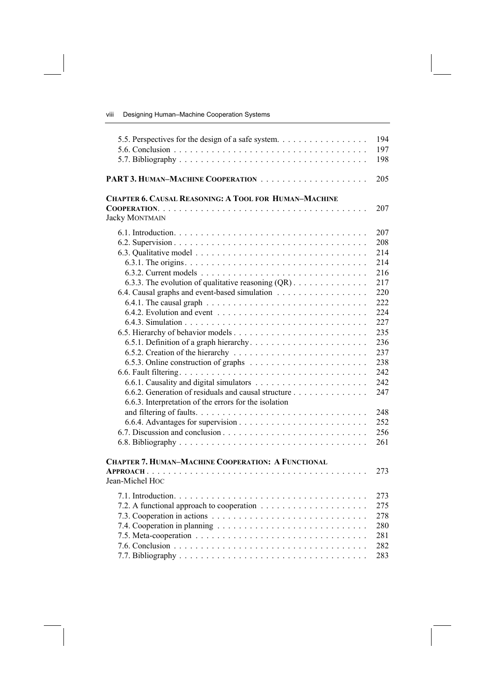viii Designing Human–Machine Cooperation Systems

| 5.5. Perspectives for the design of a safe system.           | 194 |
|--------------------------------------------------------------|-----|
|                                                              | 197 |
|                                                              | 198 |
|                                                              | 205 |
| <b>CHAPTER 6. CAUSAL REASONING: A TOOL FOR HUMAN-MACHINE</b> |     |
|                                                              | 207 |
| <b>Jacky MONTMAIN</b>                                        |     |
|                                                              | 207 |
|                                                              | 208 |
|                                                              | 214 |
|                                                              | 214 |
|                                                              | 216 |
| 6.3.3. The evolution of qualitative reasoning $(QR)$         | 217 |
| 6.4. Causal graphs and event-based simulation                | 220 |
|                                                              | 222 |
|                                                              | 224 |
|                                                              | 227 |
|                                                              | 235 |
|                                                              | 236 |
|                                                              | 237 |
|                                                              | 238 |
|                                                              | 242 |
|                                                              | 242 |
| 6.6.2. Generation of residuals and causal structure          | 247 |
| 6.6.3. Interpretation of the errors for the isolation        |     |
|                                                              | 248 |
|                                                              | 252 |
|                                                              | 256 |
|                                                              | 261 |
|                                                              |     |
| <b>CHAPTER 7. HUMAN-MACHINE COOPERATION: A FUNCTIONAL</b>    |     |
| Jean-Michel Hoc                                              | 273 |
|                                                              |     |
|                                                              | 273 |
|                                                              | 275 |
|                                                              | 278 |
|                                                              | 280 |
|                                                              | 281 |
|                                                              | 282 |

7.7. Bibliography ................................... 283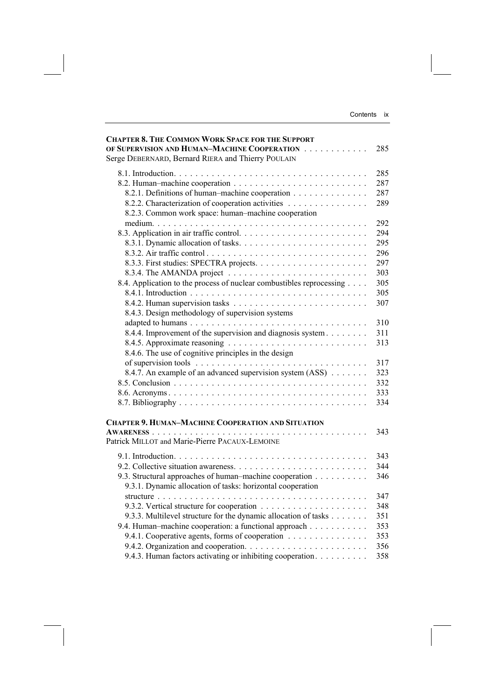| <b>CHAPTER 8. THE COMMON WORK SPACE FOR THE SUPPORT</b><br>OF SUPERVISION AND HUMAN-MACHINE COOPERATION<br>Serge DEBERNARD, Bernard RIERA and Thierry POULAIN | 285 |
|---------------------------------------------------------------------------------------------------------------------------------------------------------------|-----|
|                                                                                                                                                               | 285 |
|                                                                                                                                                               | 287 |
| 8.2.1. Definitions of human-machine cooperation                                                                                                               | 287 |
|                                                                                                                                                               | 289 |
| 8.2.2. Characterization of cooperation activities                                                                                                             |     |
| 8.2.3. Common work space: human-machine cooperation                                                                                                           |     |
|                                                                                                                                                               | 292 |
|                                                                                                                                                               | 294 |
|                                                                                                                                                               | 295 |
|                                                                                                                                                               | 296 |
|                                                                                                                                                               | 297 |
|                                                                                                                                                               | 303 |
| 8.4. Application to the process of nuclear combustibles reprocessing                                                                                          | 305 |
|                                                                                                                                                               | 305 |
|                                                                                                                                                               | 307 |
| 8.4.3. Design methodology of supervision systems                                                                                                              |     |
|                                                                                                                                                               | 310 |
| 8.4.4. Improvement of the supervision and diagnosis system                                                                                                    | 311 |
|                                                                                                                                                               | 313 |
| 8.4.6. The use of cognitive principles in the design                                                                                                          |     |
| of supervision tools $\dots \dots \dots \dots \dots \dots \dots \dots \dots \dots \dots \dots$                                                                | 317 |
| 8.4.7. An example of an advanced supervision system (ASS)                                                                                                     | 323 |
|                                                                                                                                                               | 332 |
|                                                                                                                                                               | 333 |
|                                                                                                                                                               | 334 |
|                                                                                                                                                               |     |
| <b>CHAPTER 9. HUMAN-MACHINE COOPERATION AND SITUATION</b>                                                                                                     |     |
|                                                                                                                                                               | 343 |
| Patrick MILLOT and Marie-Pierre PACAUX-LEMOINE                                                                                                                |     |
|                                                                                                                                                               | 343 |
|                                                                                                                                                               | 344 |
|                                                                                                                                                               |     |
| 9.3. Structural approaches of human-machine cooperation<br>9.3.1. Dynamic allocation of tasks: horizontal cooperation                                         | 346 |
|                                                                                                                                                               | 347 |
|                                                                                                                                                               | 348 |
| 9.3.3. Multilevel structure for the dynamic allocation of tasks                                                                                               | 351 |
| 9.4. Human-machine cooperation: a functional approach                                                                                                         | 353 |
| 9.4.1. Cooperative agents, forms of cooperation                                                                                                               | 353 |
|                                                                                                                                                               | 356 |
| 9.4.3. Human factors activating or inhibiting cooperation.                                                                                                    | 358 |